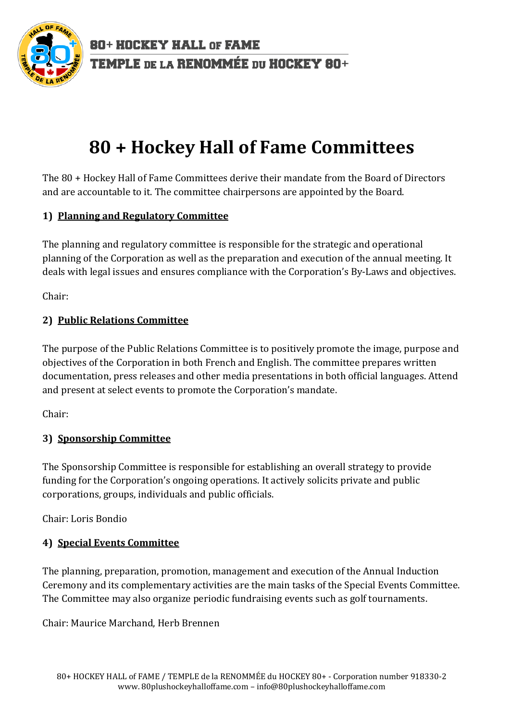

80+ HOCKEY HALL OF FAME TEMPLE DE LA RENOMMÉE DU HOCKEY 80+

# **80 + Hockey Hall of Fame Committees**

The 80 + Hockey Hall of Fame Committees derive their mandate from the Board of Directors and are accountable to it. The committee chairpersons are appointed by the Board.

# **1) Planning and Regulatory Committee**

The planning and regulatory committee is responsible for the strategic and operational planning of the Corporation as well as the preparation and execution of the annual meeting. It deals with legal issues and ensures compliance with the Corporation's By-Laws and objectives.

Chair:

# **2) Public Relations Committee**

The purpose of the Public Relations Committee is to positively promote the image, purpose and objectives of the Corporation in both French and English. The committee prepares written documentation, press releases and other media presentations in both official languages. Attend and present at select events to promote the Corporation's mandate.

Chair:

### **3) Sponsorship Committee**

The Sponsorship Committee is responsible for establishing an overall strategy to provide funding for the Corporation's ongoing operations. It actively solicits private and public corporations, groups, individuals and public officials.

Chair: Loris Bondio

### **4) Special Events Committee**

The planning, preparation, promotion, management and execution of the Annual Induction Ceremony and its complementary activities are the main tasks of the Special Events Committee. The Committee may also organize periodic fundraising events such as golf tournaments.

Chair: Maurice Marchand, Herb Brennen